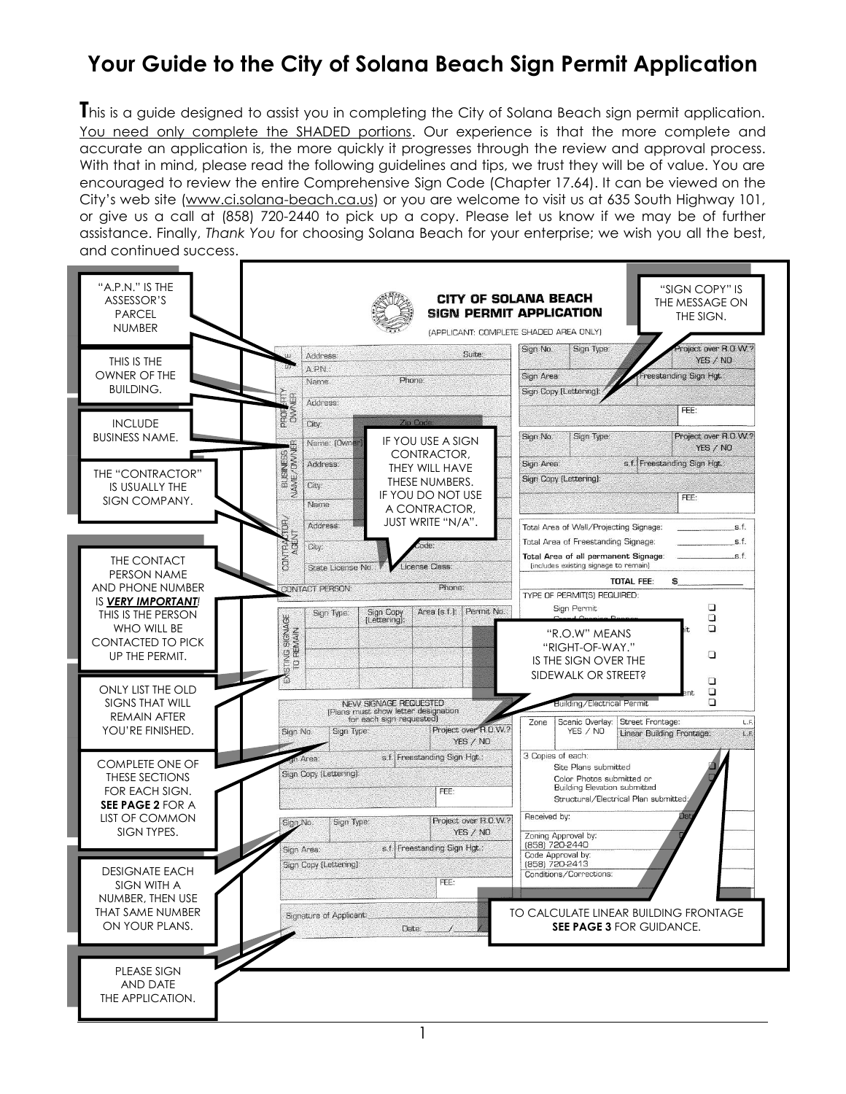### **Your Guide to the City of Solana Beach Sign Permit Application**

**T**his is a guide designed to assist you in completing the City of Solana Beach sign permit application. You need only complete the SHADED portions. Our experience is that the more complete and accurate an application is, the more quickly it progresses through the review and approval process. With that in mind, please read the following guidelines and tips, we trust they will be of value. You are encouraged to review the entire Comprehensive Sign Code (Chapter 17.64). It can be viewed on the City's web site ([www.ci.solana-beach.ca.us\)](http://www.ci.solana-beach.ca.us/) or you are welcome to visit us at 635 South Highway 101, or give us a call at (858) 720-2440 to pick up a copy. Please let us know if we may be of further assistance. Finally, *Thank You* for choosing Solana Beach for your enterprise; we wish you all the best, and continued success.



1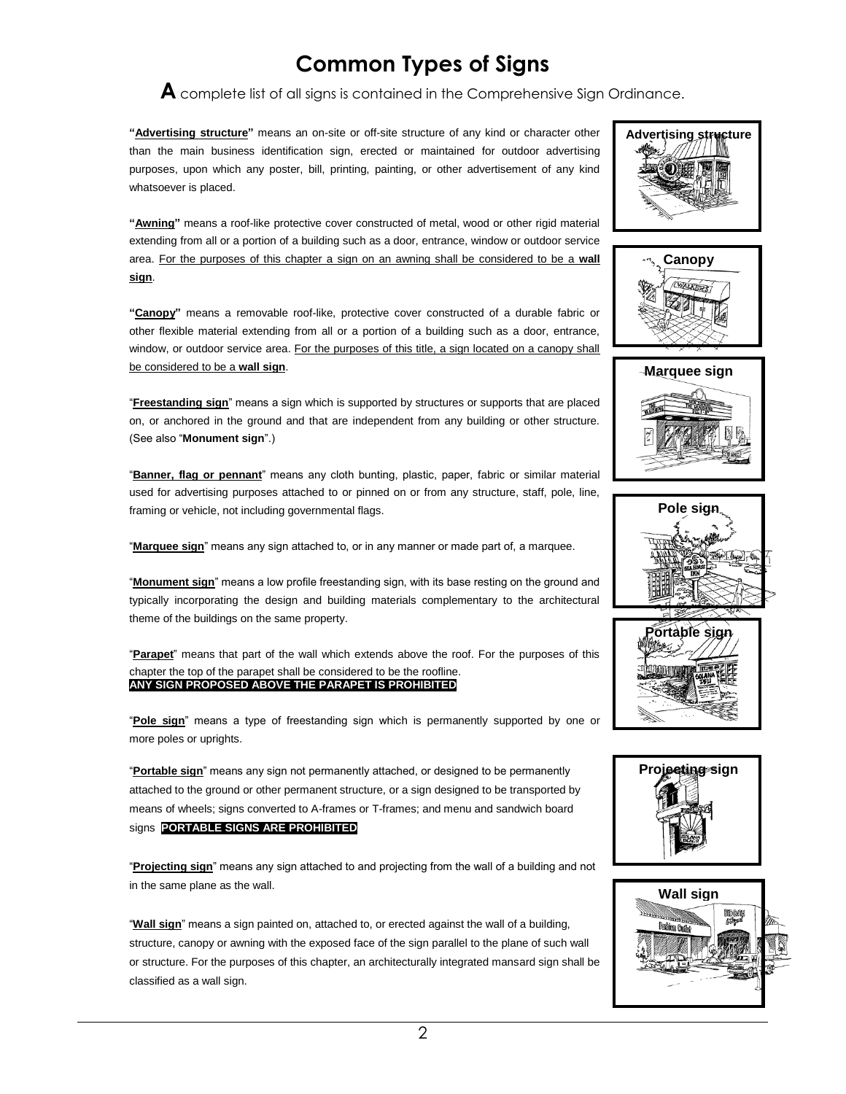### **Common Types of Signs**

**A** complete list of all signs is contained in the Comprehensive Sign Ordinance.

**"Advertising structure"** means an on-site or off-site structure of any kind or character other than the main business identification sign, erected or maintained for outdoor advertising purposes, upon which any poster, bill, printing, painting, or other advertisement of any kind whatsoever is placed.

**"Awning"** means a roof-like protective cover constructed of metal, wood or other rigid material extending from all or a portion of a building such as a door, entrance, window or outdoor service area. For the purposes of this chapter a sign on an awning shall be considered to be a **wall sign**.

**"Canopy"** means a removable roof-like, protective cover constructed of a durable fabric or other flexible material extending from all or a portion of a building such as a door, entrance, window, or outdoor service area. For the purposes of this title, a sign located on a canopy shall be considered to be a **wall sign**.

"**Freestanding sign**" means a sign which is supported by structures or supports that are placed on, or anchored in the ground and that are independent from any building or other structure. (See also "**Monument sign**".)

"**Banner, flag or pennant**" means any cloth bunting, plastic, paper, fabric or similar material used for advertising purposes attached to or pinned on or from any structure, staff, pole, line, framing or vehicle, not including governmental flags.

"**Marquee sign**" means any sign attached to, or in any manner or made part of, a marquee.

"**Monument sign**" means a low profile freestanding sign, with its base resting on the ground and typically incorporating the design and building materials complementary to the architectural theme of the buildings on the same property.

"**Parapet**" means that part of the wall which extends above the roof. For the purposes of this chapter the top of the parapet shall be considered to be the roofline. **ANY SIGN PROPOSED ABOVE THE PARAPET IS PROHIBITED**

"**Pole sign**" means a type of freestanding sign which is permanently supported by one or more poles or uprights.

"**Portable sign**" means any sign not permanently attached, or designed to be permanently attached to the ground or other permanent structure, or a sign designed to be transported by means of wheels; signs converted to A-frames or T-frames; and menu and sandwich board signs. **PORTABLE SIGNS ARE PROHIBITED**

"**Projecting sign**" means any sign attached to and projecting from the wall of a building and not in the same plane as the wall.

"**Wall sign**" means a sign painted on, attached to, or erected against the wall of a building, structure, canopy or awning with the exposed face of the sign parallel to the plane of such wall or structure. For the purposes of this chapter, an architecturally integrated mansard sign shall be classified as a wall sign.













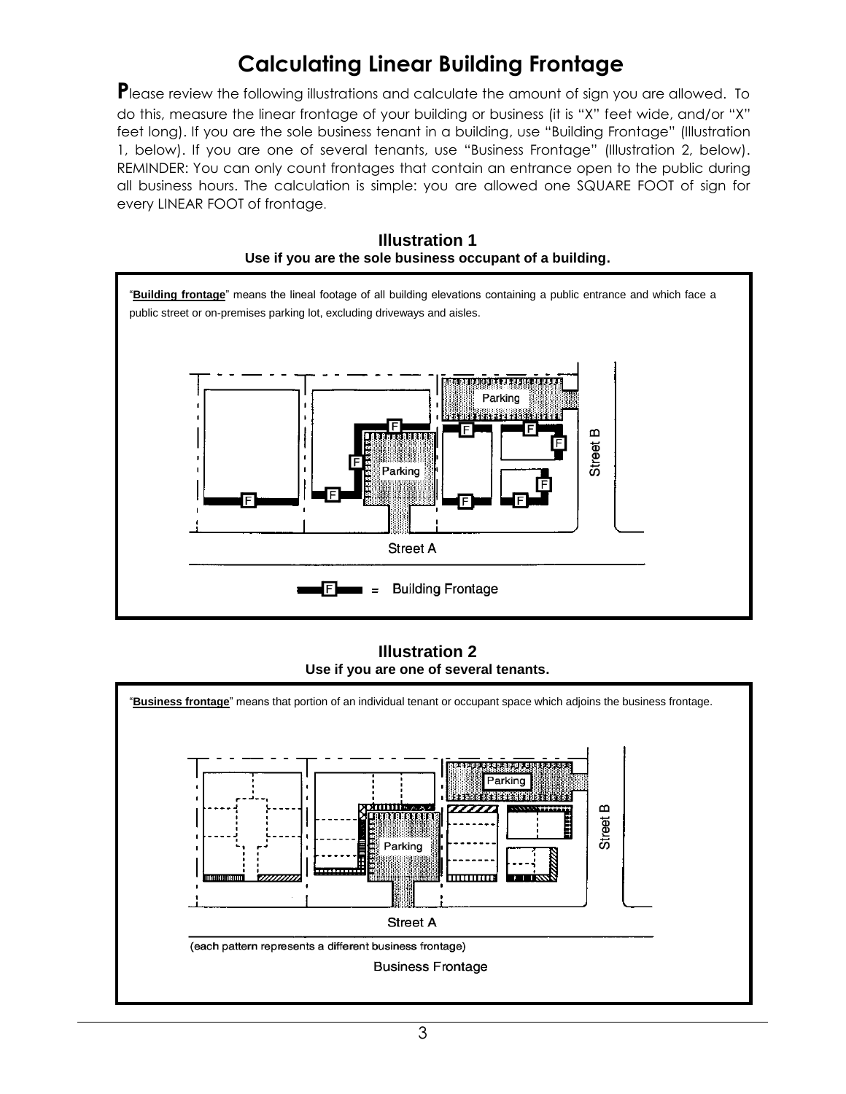## **Calculating Linear Building Frontage**

Please review the following illustrations and calculate the amount of sign you are allowed. To do this, measure the linear frontage of your building or business (it is "X" feet wide, and/or "X" feet long). If you are the sole business tenant in a building, use "Building Frontage" (Illustration 1, below). If you are one of several tenants, use "Business Frontage" (Illustration 2, below). REMINDER: You can only count frontages that contain an entrance open to the public during all business hours. The calculation is simple: you are allowed one SQUARE FOOT of sign for every LINEAR FOOT of frontage.



**Illustration 1**

**Illustration 2 Use if you are one of several tenants.**

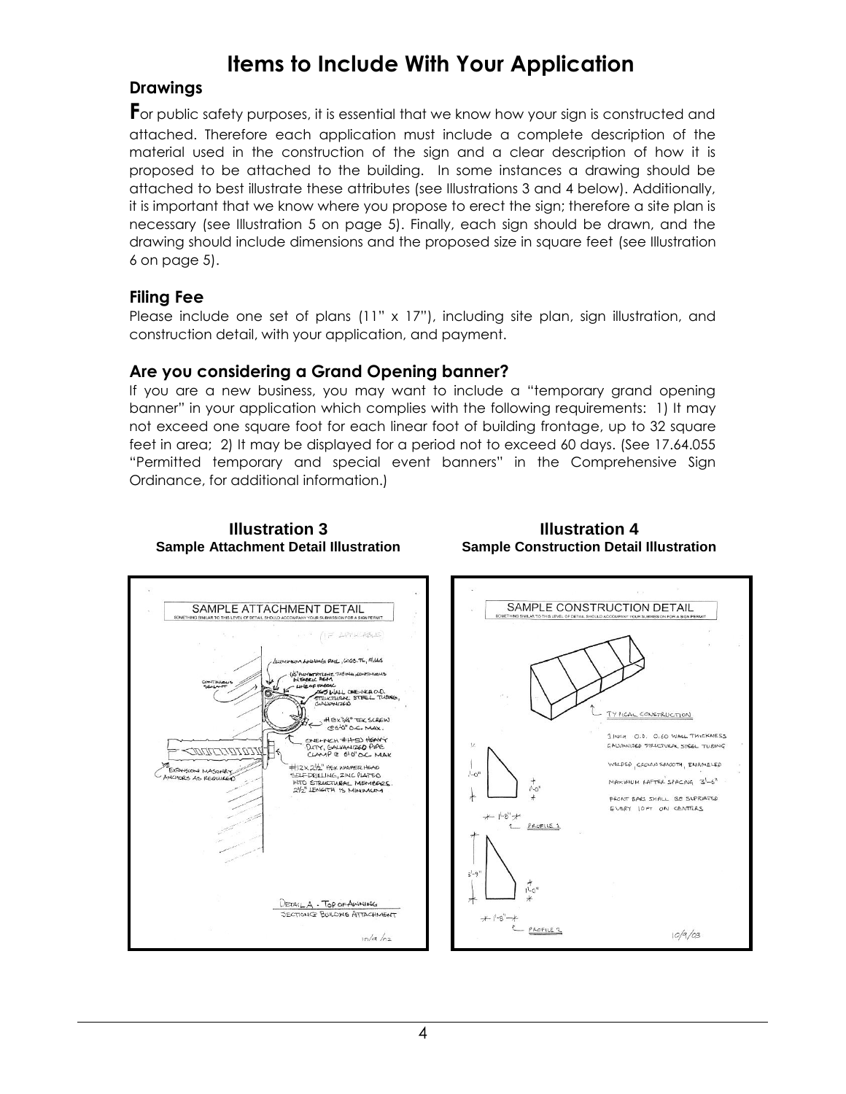## **Items to Include With Your Application**

### **Drawings**

**F**or public safety purposes, it is essential that we know how your sign is constructed and attached. Therefore each application must include a complete description of the material used in the construction of the sign and a clear description of how it is proposed to be attached to the building. In some instances a drawing should be attached to best illustrate these attributes (see Illustrations 3 and 4 below). Additionally, it is important that we know where you propose to erect the sign; therefore a site plan is necessary (see Illustration 5 on page 5). Finally, each sign should be drawn, and the drawing should include dimensions and the proposed size in square feet (see Illustration 6 on page 5).

### **Filing Fee**

Please include one set of plans (11" x 17"), including site plan, sign illustration, and construction detail, with your application, and payment.

### **Are you considering a Grand Opening banner?**

**Illustration 3 Sample Attachment Detail Illustration**

If you are a new business, you may want to include a "temporary grand opening banner" in your application which complies with the following requirements: 1) It may not exceed one square foot for each linear foot of building frontage, up to 32 square feet in area; 2) It may be displayed for a period not to exceed 60 days. (See 17.64.055 "Permitted temporary and special event banners" in the Comprehensive Sign Ordinance, for additional information.)



#### **Illustration 4 Sample Construction Detail Illustration**

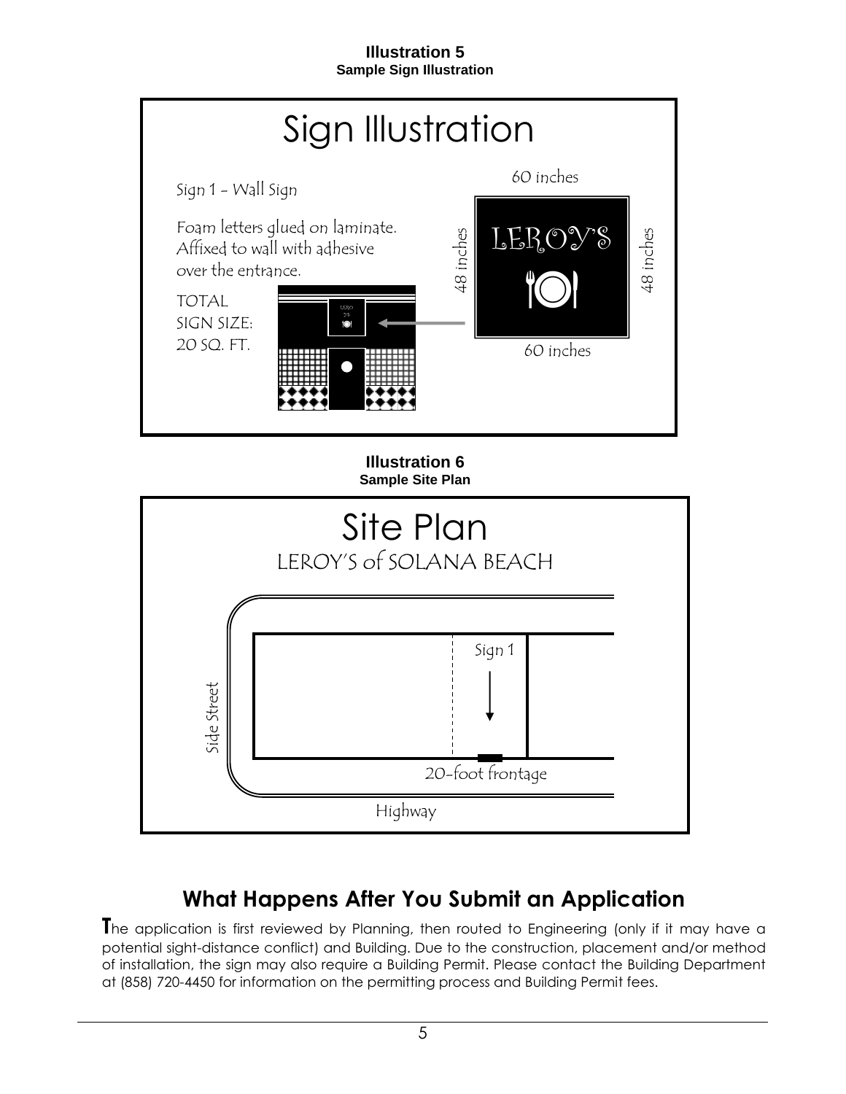#### **Illustration 5 Sample Sign Illustration**



## **What Happens After You Submit an Application**

**T**he application is first reviewed by Planning, then routed to Engineering (only if it may have a potential sight-distance conflict) and Building. Due to the construction, placement and/or method of installation, the sign may also require a Building Permit. Please contact the Building Department at (858) 720-4450 for information on the permitting process and Building Permit fees.